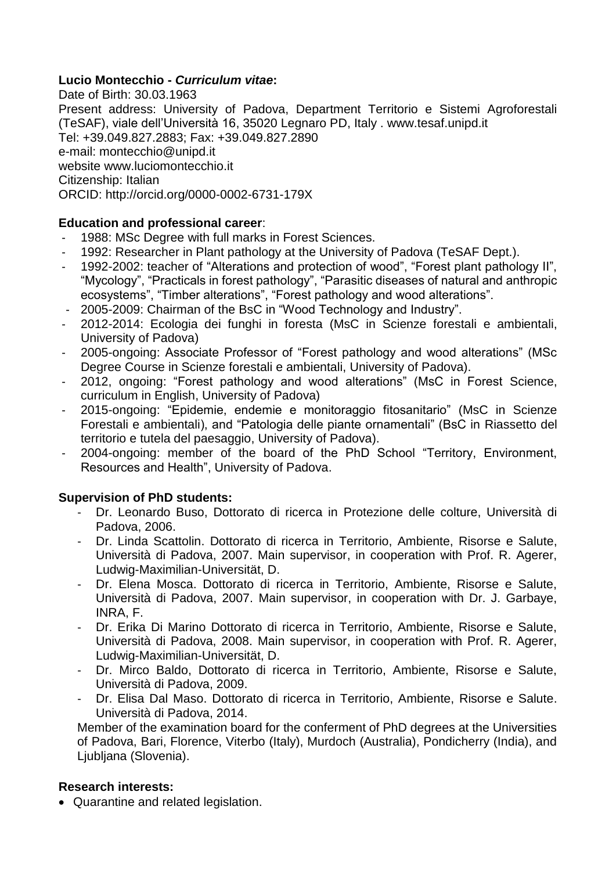# **Lucio Montecchio -** *Curriculum vitae***:**

Date of Birth: 30.03.1963 Present address: University of Padova, Department Territorio e Sistemi Agroforestali (TeSAF), viale dell'Università 16, 35020 Legnaro PD, Italy . www.tesaf.unipd.it Tel: +39.049.827.2883; Fax: +39.049.827.2890 e-mail: montecchio@unipd.it website www.luciomontecchio.it Citizenship: Italian ORCID: http://orcid.org/0000-0002-6731-179X

# **Education and professional career**:

- 1988: MSc Degree with full marks in Forest Sciences.
- 1992: Researcher in Plant pathology at the University of Padova (TeSAF Dept.).
- 1992-2002: teacher of "Alterations and protection of wood", "Forest plant pathology II", "Mycology", "Practicals in forest pathology", "Parasitic diseases of natural and anthropic ecosystems", "Timber alterations", "Forest pathology and wood alterations".
- 2005-2009: Chairman of the BsC in "Wood Technology and Industry".
- 2012-2014: Ecologia dei funghi in foresta (MsC in Scienze forestali e ambientali, University of Padova)
- 2005-ongoing: Associate Professor of "Forest pathology and wood alterations" (MSc Degree Course in Scienze forestali e ambientali, University of Padova).
- 2012, ongoing: "Forest pathology and wood alterations" (MsC in Forest Science, curriculum in English, University of Padova)
- 2015-ongoing: "Epidemie, endemie e monitoraggio fitosanitario" (MsC in Scienze Forestali e ambientali), and "Patologia delle piante ornamentali" (BsC in Riassetto del territorio e tutela del paesaggio, University of Padova).
- 2004-ongoing: member of the board of the PhD School "Territory, Environment, Resources and Health", University of Padova.

## **Supervision of PhD students:**

- Dr. Leonardo Buso, Dottorato di ricerca in Protezione delle colture, Università di Padova, 2006.
- Dr. Linda Scattolin. Dottorato di ricerca in Territorio, Ambiente, Risorse e Salute, Università di Padova, 2007. Main supervisor, in cooperation with Prof. R. Agerer, Ludwig-Maximilian-Universität, D.
- Dr. Elena Mosca. Dottorato di ricerca in Territorio, Ambiente, Risorse e Salute, Università di Padova, 2007. Main supervisor, in cooperation with Dr. J. Garbaye, INRA, F.
- Dr. Erika Di Marino Dottorato di ricerca in Territorio, Ambiente, Risorse e Salute, Università di Padova, 2008. Main supervisor, in cooperation with Prof. R. Agerer, Ludwig-Maximilian-Universität, D.
- Dr. Mirco Baldo, Dottorato di ricerca in Territorio, Ambiente, Risorse e Salute, Università di Padova, 2009.
- Dr. Elisa Dal Maso. Dottorato di ricerca in Territorio, Ambiente, Risorse e Salute. Università di Padova, 2014.

Member of the examination board for the conferment of PhD degrees at the Universities of Padova, Bari, Florence, Viterbo (Italy), Murdoch (Australia), Pondicherry (India), and Ljubljana (Slovenia).

## **Research interests:**

Quarantine and related legislation.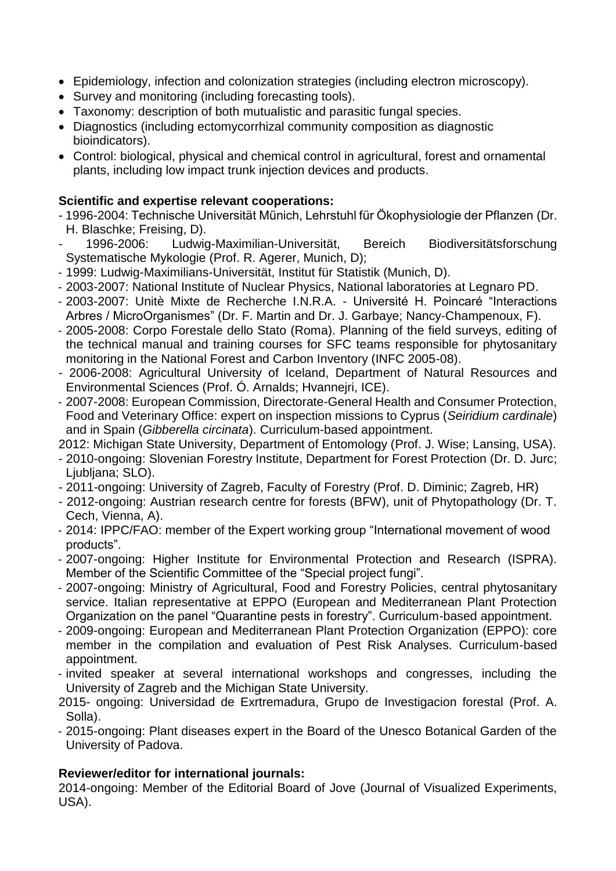- Epidemiology, infection and colonization strategies (including electron microscopy).
- Survey and monitoring (including forecasting tools).
- Taxonomy: description of both mutualistic and parasitic fungal species.
- Diagnostics (including ectomycorrhizal community composition as diagnostic bioindicators).
- Control: biological, physical and chemical control in agricultural, forest and ornamental plants, including low impact trunk injection devices and products.

## **Scientific and expertise relevant cooperations:**

- 1996-2004: Technische Universität Műnich, Lehrstuhl für Ökophysiologie der Pflanzen (Dr. H. Blaschke; Freising, D).
- 1996-2006: Ludwig-Maximilian-Universität, Bereich Biodiversitätsforschung Systematische Mykologie (Prof. R. Agerer, Munich, D);
- 1999: Ludwig-Maximilians-Universität, Institut für Statistik (Munich, D).
- 2003-2007: National Institute of Nuclear Physics, National laboratories at Legnaro PD.
- 2003-2007: Unitè Mixte de Recherche I.N.R.A. Université H. Poincaré "Interactions Arbres / MicroOrganismes" (Dr. F. Martin and Dr. J. Garbaye; Nancy-Champenoux, F).
- 2005-2008: Corpo Forestale dello Stato (Roma). Planning of the field surveys, editing of the technical manual and training courses for SFC teams responsible for phytosanitary monitoring in the National Forest and Carbon Inventory (INFC 2005-08).
- 2006-2008: Agricultural University of Iceland, Department of Natural Resources and Environmental Sciences (Prof. Ó. Arnalds; Hvannejri, ICE).
- 2007-2008: European Commission, Directorate-General Health and Consumer Protection, Food and Veterinary Office: expert on inspection missions to Cyprus (*Seiridium cardinale*) and in Spain (*Gibberella circinata*). Curriculum-based appointment.

2012: Michigan State University, Department of Entomology (Prof. J. Wise; Lansing, USA).

- 2010-ongoing: Slovenian Forestry Institute, Department for Forest Protection (Dr. D. Jurc; Liubliana: SLO).
- 2011-ongoing: University of Zagreb, Faculty of Forestry (Prof. D. Diminic; Zagreb, HR)
- 2012-ongoing: Austrian research centre for forests (BFW), unit of Phytopathology (Dr. T. Cech, Vienna, A).
- 2014: IPPC/FAO: member of the Expert working group "International movement of wood products".
- 2007-ongoing: Higher Institute for Environmental Protection and Research (ISPRA). Member of the Scientific Committee of the "Special project fungi".
- 2007-ongoing: Ministry of Agricultural, Food and Forestry Policies, central phytosanitary service. Italian representative at EPPO (European and Mediterranean Plant Protection Organization on the panel "Quarantine pests in forestry". Curriculum-based appointment.
- 2009-ongoing: European and Mediterranean Plant Protection Organization (EPPO): core member in the compilation and evaluation of Pest Risk Analyses. Curriculum-based appointment.
- invited speaker at several international workshops and congresses, including the University of Zagreb and the Michigan State University.
- 2015- ongoing: Universidad de Exrtremadura, Grupo de Investigacion forestal (Prof. A. Solla).
- 2015-ongoing: Plant diseases expert in the Board of the Unesco Botanical Garden of the University of Padova.

# **Reviewer/editor for international journals:**

2014-ongoing: Member of the Editorial Board of Jove (Journal of Visualized Experiments, USA).